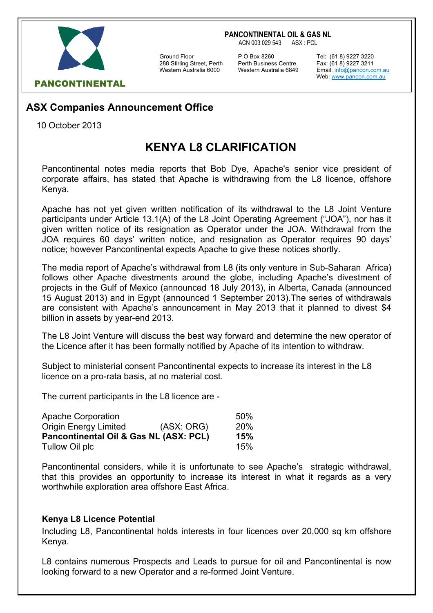#### **PANCONTINENTAL OIL & GAS NL**

ACN 003 029 543 ASX : PCL



288 Stirling Street, Perth Perth Business Centre Fax: (61 8) 9227 3211

Ground Floor **P O Box 8260** Tel: (61 8) 9227 3220<br>288 Stirling Street, Perth Perth Business Centre Fax: (61 8) 9227 3211

Email: info@pancon.com.au Web: www.pancon.com.au

## **ASX Companies Announcement Office**

10 October 2013

# **KENYA L8 CLARIFICATION**

Pancontinental notes media reports that Bob Dye, Apache's senior vice president of corporate affairs, has stated that Apache is withdrawing from the L8 licence, offshore Kenya.

Apache has not yet given written notification of its withdrawal to the L8 Joint Venture participants under Article 13.1(A) of the L8 Joint Operating Agreement ("JOA"), nor has it given written notice of its resignation as Operator under the JOA. Withdrawal from the JOA requires 60 days' written notice, and resignation as Operator requires 90 days' notice; however Pancontinental expects Apache to give these notices shortly.

The media report of Apache's withdrawal from L8 (its only venture in Sub-Saharan Africa) follows other Apache divestments around the globe, including Apache's divestment of projects in the Gulf of Mexico (announced 18 July 2013), in Alberta, Canada (announced 15 August 2013) and in Egypt (announced 1 September 2013).The series of withdrawals are consistent with Apache's announcement in May 2013 that it planned to divest \$4 billion in assets by year-end 2013.

The L8 Joint Venture will discuss the best way forward and determine the new operator of the Licence after it has been formally notified by Apache of its intention to withdraw.

Subject to ministerial consent Pancontinental expects to increase its interest in the L8 licence on a pro-rata basis, at no material cost.

The current participants in the L8 licence are -

| Apache Corporation                     |            | 50% |
|----------------------------------------|------------|-----|
| <b>Origin Energy Limited</b>           | (ASK: ORG) | 20% |
| Pancontinental Oil & Gas NL (ASX: PCL) |            | 15% |
| Tullow Oil plc                         |            | 15% |

Pancontinental considers, while it is unfortunate to see Apache's strategic withdrawal, that this provides an opportunity to increase its interest in what it regards as a very worthwhile exploration area offshore East Africa.

### **Kenya L8 Licence Potential**

Including L8, Pancontinental holds interests in four licences over 20,000 sq km offshore Kenya.

L8 contains numerous Prospects and Leads to pursue for oil and Pancontinental is now looking forward to a new Operator and a re-formed Joint Venture.